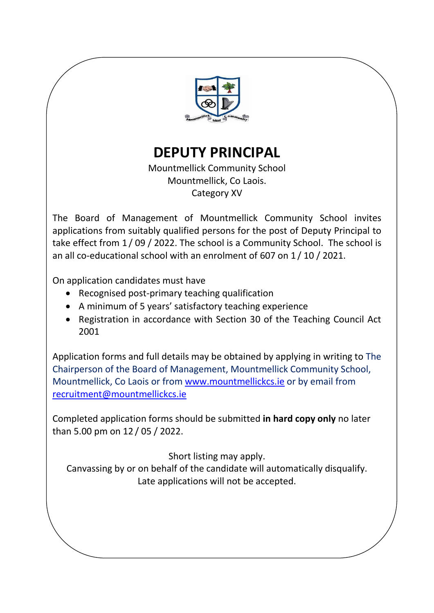

**DEPUTY PRINCIPAL**

Mountmellick Community School Mountmellick, Co Laois. Category XV

The Board of Management of Mountmellick Community School invites applications from suitably qualified persons for the post of Deputy Principal to take effect from 1 / 09 / 2022. The school is a Community School. The school is an all co-educational school with an enrolment of 607 on 1 / 10 / 2021.

On application candidates must have

- Recognised post-primary teaching qualification
- A minimum of 5 years' satisfactory teaching experience
- Registration in accordance with Section 30 of the Teaching Council Act 2001

Application forms and full details may be obtained by applying in writing to The Chairperson of the Board of Management, Mountmellick Community School, Mountmellick, Co Laois or from [www.mountmellickcs.ie](http://www.mountmellickcs.ie/) or by email from [recruitment@mountmellickcs.ie](mailto:recruitment@mountmellickcs.ie)

Completed application forms should be submitted **in hard copy only** no later than 5.00 pm on 12 / 05 / 2022.

Short listing may apply.

Canvassing by or on behalf of the candidate will automatically disqualify. Late applications will not be accepted.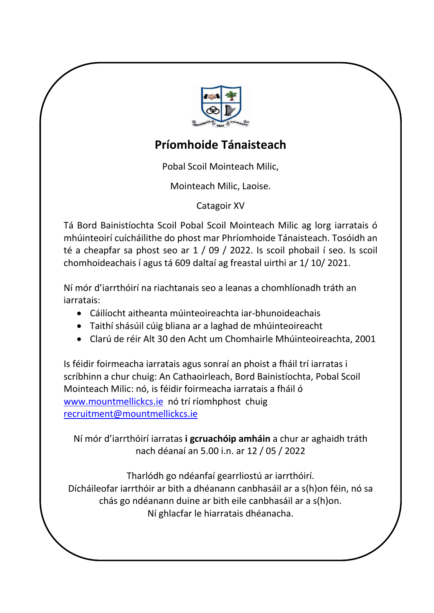

# **Príomhoide Tánaisteach**

Pobal Scoil Mointeach Milic,

Mointeach Milic, Laoise.

Catagoir XV

Tá Bord Bainistíochta Scoil Pobal Scoil Mointeach Milic ag lorg iarratais ó mhúinteoirí cuícháilithe do phost mar Phríomhoide Tánaisteach. Tosóidh an té a cheapfar sa phost seo ar 1 / 09 / 2022. Is scoil phobail í seo. Is scoil chomhoideachais í agus tá 609 daltaí ag freastal uirthi ar 1/ 10/ 2021.

Ní mór d'iarrthóirí na riachtanais seo a leanas a chomhlíonadh tráth an iarratais:

- Cáilíocht aitheanta múinteoireachta iar-bhunoideachais
- Taithí shásúil cúig bliana ar a laghad de mhúinteoireacht
- Clarú de réir Alt 30 den Acht um Chomhairle Mhúinteoireachta, 2001

Is féidir foirmeacha iarratais agus sonraí an phoist a fháil trí iarratas i scríbhinn a chur chuig: An Cathaoirleach, Bord Bainistíochta, Pobal Scoil Mointeach Milic: nó, is féidir foirmeacha iarratais a fháil ó [www.mountmellickcs.ie](http://www.mountmellickcs.ie/) nó trí ríomhphost chuig [recruitment@mountmellickcs.ie](mailto:recruitment@mountmellickcs.ie)

Ní mór d'iarrthóirí iarratas **i gcruachóip amháin** a chur ar aghaidh tráth nach déanaí an 5.00 i.n. ar 12 / 05 / 2022

Tharlódh go ndéanfaí gearrliostú ar iarrthóirí. Dícháileofar iarrthóir ar bith a dhéanann canbhasáil ar a s(h)on féin, nó sa chás go ndéanann duine ar bith eile canbhasáil ar a s(h)on. Ní ghlacfar le hiarratais dhéanacha.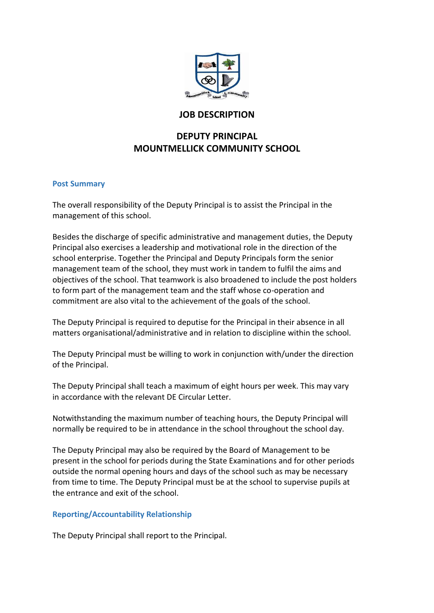

# **JOB DESCRIPTION**

# **DEPUTY PRINCIPAL MOUNTMELLICK COMMUNITY SCHOOL**

#### **Post Summary**

The overall responsibility of the Deputy Principal is to assist the Principal in the management of this school.

Besides the discharge of specific administrative and management duties, the Deputy Principal also exercises a leadership and motivational role in the direction of the school enterprise. Together the Principal and Deputy Principals form the senior management team of the school, they must work in tandem to fulfil the aims and objectives of the school. That teamwork is also broadened to include the post holders to form part of the management team and the staff whose co-operation and commitment are also vital to the achievement of the goals of the school.

The Deputy Principal is required to deputise for the Principal in their absence in all matters organisational/administrative and in relation to discipline within the school.

The Deputy Principal must be willing to work in conjunction with/under the direction of the Principal.

The Deputy Principal shall teach a maximum of eight hours per week. This may vary in accordance with the relevant DE Circular Letter.

Notwithstanding the maximum number of teaching hours, the Deputy Principal will normally be required to be in attendance in the school throughout the school day.

The Deputy Principal may also be required by the Board of Management to be present in the school for periods during the State Examinations and for other periods outside the normal opening hours and days of the school such as may be necessary from time to time. The Deputy Principal must be at the school to supervise pupils at the entrance and exit of the school.

### **Reporting/Accountability Relationship**

The Deputy Principal shall report to the Principal.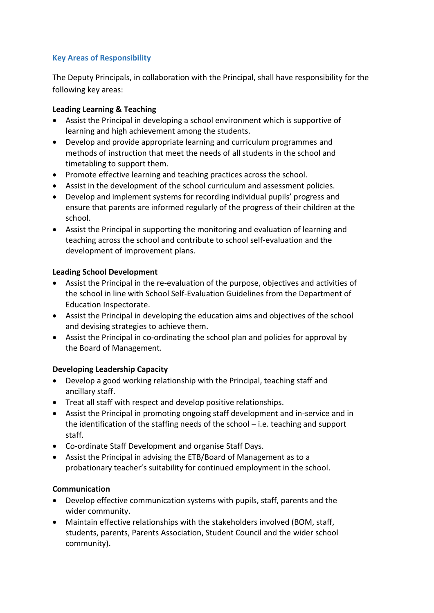# **Key Areas of Responsibility**

The Deputy Principals, in collaboration with the Principal, shall have responsibility for the following key areas:

### **Leading Learning & Teaching**

- Assist the Principal in developing a school environment which is supportive of learning and high achievement among the students.
- Develop and provide appropriate learning and curriculum programmes and methods of instruction that meet the needs of all students in the school and timetabling to support them.
- Promote effective learning and teaching practices across the school.
- Assist in the development of the school curriculum and assessment policies.
- Develop and implement systems for recording individual pupils' progress and ensure that parents are informed regularly of the progress of their children at the school.
- Assist the Principal in supporting the monitoring and evaluation of learning and teaching across the school and contribute to school self-evaluation and the development of improvement plans.

### **Leading School Development**

- Assist the Principal in the re-evaluation of the purpose, objectives and activities of the school in line with School Self-Evaluation Guidelines from the Department of Education Inspectorate.
- Assist the Principal in developing the education aims and objectives of the school and devising strategies to achieve them.
- Assist the Principal in co-ordinating the school plan and policies for approval by the Board of Management.

### **Developing Leadership Capacity**

- Develop a good working relationship with the Principal, teaching staff and ancillary staff.
- Treat all staff with respect and develop positive relationships.
- Assist the Principal in promoting ongoing staff development and in-service and in the identification of the staffing needs of the school – i.e. teaching and support staff.
- Co-ordinate Staff Development and organise Staff Days.
- Assist the Principal in advising the ETB/Board of Management as to a probationary teacher's suitability for continued employment in the school.

#### **Communication**

- Develop effective communication systems with pupils, staff, parents and the wider community.
- Maintain effective relationships with the stakeholders involved (BOM, staff, students, parents, Parents Association, Student Council and the wider school community).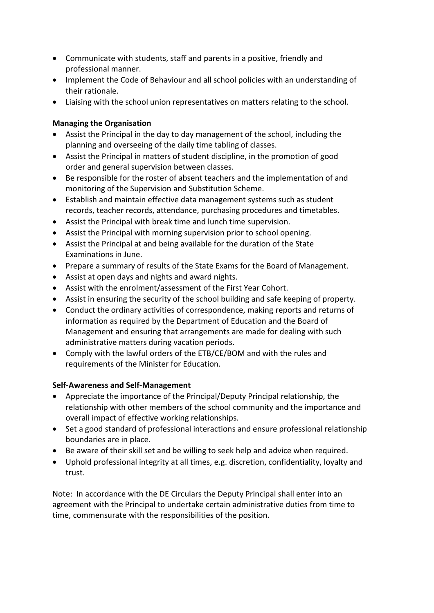- Communicate with students, staff and parents in a positive, friendly and professional manner.
- Implement the Code of Behaviour and all school policies with an understanding of their rationale.
- Liaising with the school union representatives on matters relating to the school.

## **Managing the Organisation**

- Assist the Principal in the day to day management of the school, including the planning and overseeing of the daily time tabling of classes.
- Assist the Principal in matters of student discipline, in the promotion of good order and general supervision between classes.
- Be responsible for the roster of absent teachers and the implementation of and monitoring of the Supervision and Substitution Scheme.
- Establish and maintain effective data management systems such as student records, teacher records, attendance, purchasing procedures and timetables.
- Assist the Principal with break time and lunch time supervision.
- Assist the Principal with morning supervision prior to school opening.
- Assist the Principal at and being available for the duration of the State Examinations in June.
- Prepare a summary of results of the State Exams for the Board of Management.
- Assist at open days and nights and award nights.
- Assist with the enrolment/assessment of the First Year Cohort.
- Assist in ensuring the security of the school building and safe keeping of property.
- Conduct the ordinary activities of correspondence, making reports and returns of information as required by the Department of Education and the Board of Management and ensuring that arrangements are made for dealing with such administrative matters during vacation periods.
- Comply with the lawful orders of the ETB/CE/BOM and with the rules and requirements of the Minister for Education.

### **Self-Awareness and Self-Management**

- Appreciate the importance of the Principal/Deputy Principal relationship, the relationship with other members of the school community and the importance and overall impact of effective working relationships.
- Set a good standard of professional interactions and ensure professional relationship boundaries are in place.
- Be aware of their skill set and be willing to seek help and advice when required.
- Uphold professional integrity at all times, e.g. discretion, confidentiality, loyalty and trust.

Note: In accordance with the DE Circulars the Deputy Principal shall enter into an agreement with the Principal to undertake certain administrative duties from time to time, commensurate with the responsibilities of the position*.*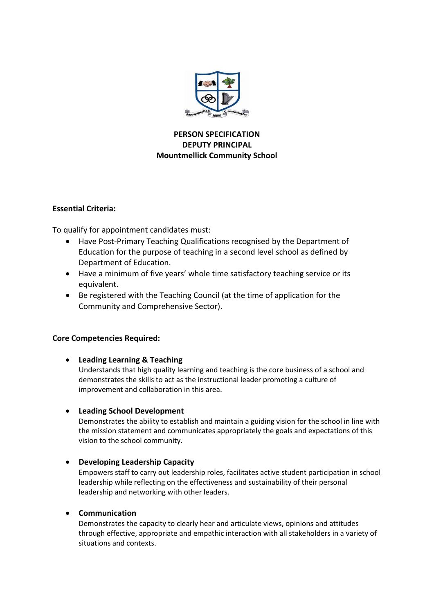

### **PERSON SPECIFICATION DEPUTY PRINCIPAL Mountmellick Community School**

#### **Essential Criteria:**

To qualify for appointment candidates must:

- Have Post-Primary Teaching Qualifications recognised by the Department of Education for the purpose of teaching in a second level school as defined by Department of Education.
- Have a minimum of five years' whole time satisfactory teaching service or its equivalent.
- Be registered with the Teaching Council (at the time of application for the Community and Comprehensive Sector).

### **Core Competencies Required:**

### **Leading Learning & Teaching**

Understands that high quality learning and teaching is the core business of a school and demonstrates the skills to act as the instructional leader promoting a culture of improvement and collaboration in this area.

#### **Leading School Development**

Demonstrates the ability to establish and maintain a guiding vision for the school in line with the mission statement and communicates appropriately the goals and expectations of this vision to the school community.

#### **Developing Leadership Capacity**

Empowers staff to carry out leadership roles, facilitates active student participation in school leadership while reflecting on the effectiveness and sustainability of their personal leadership and networking with other leaders.

#### **Communication**

Demonstrates the capacity to clearly hear and articulate views, opinions and attitudes through effective, appropriate and empathic interaction with all stakeholders in a variety of situations and contexts.